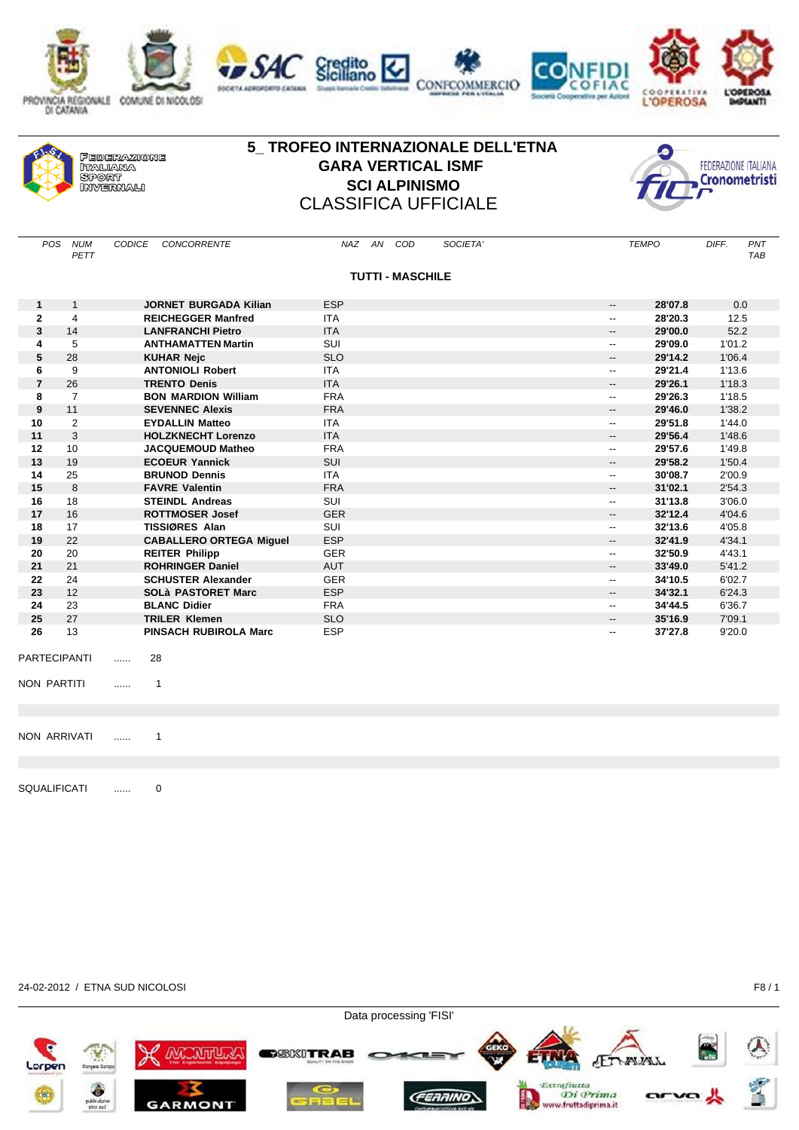









| <b>FEDERAZIONE</b><br><b>NTALIAMA</b><br><b>SPORT</b><br><b><i>ORIVERMALL</i></b> |
|-----------------------------------------------------------------------------------|
|-----------------------------------------------------------------------------------|

## **5\_ TROFEO INTERNAZIONALE DELL'ETNA GARA VERTICAL ISMF SCI ALPINISMO**  CLASSIFICA UFFICIALE

Credito<br>Siciliano



| <b>TUTTI - MASCHILE</b><br><b>ESP</b><br>28'07.8<br><b>JORNET BURGADA Kilian</b><br>$\mathbf{1}$<br>$\mathbf{1}$<br>--<br>$\mathbf{2}$<br>$\overline{4}$<br><b>ITA</b><br>28'20.3<br><b>REICHEGGER Manfred</b><br>$\overline{\phantom{a}}$<br>3<br><b>ITA</b><br>14<br><b>LANFRANCHI Pietro</b><br>29'00.0<br>$\overline{\phantom{a}}$<br><b>SUI</b><br>29'09.0<br>5<br><b>ANTHAMATTEN Martin</b><br>4<br>$\overline{\phantom{a}}$<br>5<br>28<br><b>KUHAR Nejc</b><br><b>SLO</b><br>29'14.2<br>$\overline{\phantom{a}}$<br>9<br><b>ANTONIOLI Robert</b><br><b>ITA</b><br>29'21.4<br>6<br>$\overline{\phantom{a}}$<br>$\overline{7}$<br>26<br><b>TRENTO Denis</b><br><b>ITA</b><br>29'26.1<br>--<br>8<br>$\overline{7}$<br><b>FRA</b><br><b>BON MARDION William</b><br>29'26.3<br>--<br>9<br><b>FRA</b><br>11<br><b>SEVENNEC Alexis</b><br>29'46.0<br>$\overline{\phantom{a}}$<br>$\overline{2}$<br><b>EYDALLIN Matteo</b><br><b>ITA</b><br>29'51.8<br>10<br>$\overline{\phantom{a}}$<br>3<br><b>ITA</b><br>11<br><b>HOLZKNECHT Lorenzo</b><br>29'56.4<br>--<br>29'57.6<br>12<br>10<br><b>FRA</b><br><b>JACQUEMOUD Matheo</b><br>$\overline{\phantom{a}}$<br>13<br><b>ECOEUR Yannick</b><br><b>SUI</b><br>29'58.2<br>19<br>--<br>14<br><b>ITA</b><br>25<br><b>BRUNOD Dennis</b><br>30'08.7<br>$\overline{\phantom{a}}$<br>15<br>$\mathsf{R}$<br><b>FAVRE Valentin</b><br><b>FRA</b><br>31'02.1<br>$\overline{\phantom{a}}$<br>16<br><b>SUI</b><br>18<br><b>STEINDL Andreas</b><br>31'13.8<br>$\overline{\phantom{a}}$<br>17<br><b>GER</b><br>16<br><b>ROTTMOSER Josef</b><br>32'12.4<br>--<br>18<br>SUI<br>17<br><b>TISSIØRES Alan</b><br>32'13.6<br>$\overline{\phantom{a}}$<br><b>ESP</b><br>19<br>22<br><b>CABALLERO ORTEGA Miquel</b><br>32'41.9<br>$\overline{\phantom{a}}$<br>20<br><b>REITER Philipp</b><br><b>GER</b><br>32'50.9<br>20<br>$\overline{\phantom{a}}$<br><b>ROHRINGER Daniel</b><br><b>AUT</b><br>21<br>21<br>33'49.0<br>--<br><b>GER</b><br>22<br>24<br><b>SCHUSTER Alexander</b><br>34'10.5<br>$\overline{\phantom{a}}$<br>23<br><b>SOLà PASTORET Marc</b><br><b>ESP</b><br>34'32.1<br>12 <sup>2</sup><br>$\overline{\phantom{a}}$<br>24<br>23<br><b>BLANC Didier</b><br><b>FRA</b><br>34'44.5<br>$\overline{\phantom{a}}$<br>25<br><b>SLO</b><br>27<br><b>TRILER Klemen</b><br>35'16.9<br>$\overline{\phantom{a}}$<br>13<br><b>ESP</b><br>37'27.8<br>26<br><b>PINSACH RUBIROLA Marc</b><br>-- | DIFF.<br>PNT<br><b>TAB</b> |
|----------------------------------------------------------------------------------------------------------------------------------------------------------------------------------------------------------------------------------------------------------------------------------------------------------------------------------------------------------------------------------------------------------------------------------------------------------------------------------------------------------------------------------------------------------------------------------------------------------------------------------------------------------------------------------------------------------------------------------------------------------------------------------------------------------------------------------------------------------------------------------------------------------------------------------------------------------------------------------------------------------------------------------------------------------------------------------------------------------------------------------------------------------------------------------------------------------------------------------------------------------------------------------------------------------------------------------------------------------------------------------------------------------------------------------------------------------------------------------------------------------------------------------------------------------------------------------------------------------------------------------------------------------------------------------------------------------------------------------------------------------------------------------------------------------------------------------------------------------------------------------------------------------------------------------------------------------------------------------------------------------------------------------------------------------------------------------------------------------------------------------------------------------------------------------------------------------------------------------------------------------------------------------------------------------------------------------------------------------------------------------------------------------------------|----------------------------|
|                                                                                                                                                                                                                                                                                                                                                                                                                                                                                                                                                                                                                                                                                                                                                                                                                                                                                                                                                                                                                                                                                                                                                                                                                                                                                                                                                                                                                                                                                                                                                                                                                                                                                                                                                                                                                                                                                                                                                                                                                                                                                                                                                                                                                                                                                                                                                                                                                      |                            |
|                                                                                                                                                                                                                                                                                                                                                                                                                                                                                                                                                                                                                                                                                                                                                                                                                                                                                                                                                                                                                                                                                                                                                                                                                                                                                                                                                                                                                                                                                                                                                                                                                                                                                                                                                                                                                                                                                                                                                                                                                                                                                                                                                                                                                                                                                                                                                                                                                      | 0.0                        |
|                                                                                                                                                                                                                                                                                                                                                                                                                                                                                                                                                                                                                                                                                                                                                                                                                                                                                                                                                                                                                                                                                                                                                                                                                                                                                                                                                                                                                                                                                                                                                                                                                                                                                                                                                                                                                                                                                                                                                                                                                                                                                                                                                                                                                                                                                                                                                                                                                      | 12.5                       |
|                                                                                                                                                                                                                                                                                                                                                                                                                                                                                                                                                                                                                                                                                                                                                                                                                                                                                                                                                                                                                                                                                                                                                                                                                                                                                                                                                                                                                                                                                                                                                                                                                                                                                                                                                                                                                                                                                                                                                                                                                                                                                                                                                                                                                                                                                                                                                                                                                      | 52.2                       |
|                                                                                                                                                                                                                                                                                                                                                                                                                                                                                                                                                                                                                                                                                                                                                                                                                                                                                                                                                                                                                                                                                                                                                                                                                                                                                                                                                                                                                                                                                                                                                                                                                                                                                                                                                                                                                                                                                                                                                                                                                                                                                                                                                                                                                                                                                                                                                                                                                      | 1'01.2                     |
|                                                                                                                                                                                                                                                                                                                                                                                                                                                                                                                                                                                                                                                                                                                                                                                                                                                                                                                                                                                                                                                                                                                                                                                                                                                                                                                                                                                                                                                                                                                                                                                                                                                                                                                                                                                                                                                                                                                                                                                                                                                                                                                                                                                                                                                                                                                                                                                                                      | 1'06.4                     |
|                                                                                                                                                                                                                                                                                                                                                                                                                                                                                                                                                                                                                                                                                                                                                                                                                                                                                                                                                                                                                                                                                                                                                                                                                                                                                                                                                                                                                                                                                                                                                                                                                                                                                                                                                                                                                                                                                                                                                                                                                                                                                                                                                                                                                                                                                                                                                                                                                      | 1'13.6                     |
|                                                                                                                                                                                                                                                                                                                                                                                                                                                                                                                                                                                                                                                                                                                                                                                                                                                                                                                                                                                                                                                                                                                                                                                                                                                                                                                                                                                                                                                                                                                                                                                                                                                                                                                                                                                                                                                                                                                                                                                                                                                                                                                                                                                                                                                                                                                                                                                                                      | 1'18.3                     |
|                                                                                                                                                                                                                                                                                                                                                                                                                                                                                                                                                                                                                                                                                                                                                                                                                                                                                                                                                                                                                                                                                                                                                                                                                                                                                                                                                                                                                                                                                                                                                                                                                                                                                                                                                                                                                                                                                                                                                                                                                                                                                                                                                                                                                                                                                                                                                                                                                      | 1'18.5                     |
|                                                                                                                                                                                                                                                                                                                                                                                                                                                                                                                                                                                                                                                                                                                                                                                                                                                                                                                                                                                                                                                                                                                                                                                                                                                                                                                                                                                                                                                                                                                                                                                                                                                                                                                                                                                                                                                                                                                                                                                                                                                                                                                                                                                                                                                                                                                                                                                                                      | 1'38.2                     |
|                                                                                                                                                                                                                                                                                                                                                                                                                                                                                                                                                                                                                                                                                                                                                                                                                                                                                                                                                                                                                                                                                                                                                                                                                                                                                                                                                                                                                                                                                                                                                                                                                                                                                                                                                                                                                                                                                                                                                                                                                                                                                                                                                                                                                                                                                                                                                                                                                      | 1'44.0                     |
|                                                                                                                                                                                                                                                                                                                                                                                                                                                                                                                                                                                                                                                                                                                                                                                                                                                                                                                                                                                                                                                                                                                                                                                                                                                                                                                                                                                                                                                                                                                                                                                                                                                                                                                                                                                                                                                                                                                                                                                                                                                                                                                                                                                                                                                                                                                                                                                                                      | 1'48.6                     |
|                                                                                                                                                                                                                                                                                                                                                                                                                                                                                                                                                                                                                                                                                                                                                                                                                                                                                                                                                                                                                                                                                                                                                                                                                                                                                                                                                                                                                                                                                                                                                                                                                                                                                                                                                                                                                                                                                                                                                                                                                                                                                                                                                                                                                                                                                                                                                                                                                      | 1'49.8                     |
|                                                                                                                                                                                                                                                                                                                                                                                                                                                                                                                                                                                                                                                                                                                                                                                                                                                                                                                                                                                                                                                                                                                                                                                                                                                                                                                                                                                                                                                                                                                                                                                                                                                                                                                                                                                                                                                                                                                                                                                                                                                                                                                                                                                                                                                                                                                                                                                                                      | 1'50.4                     |
|                                                                                                                                                                                                                                                                                                                                                                                                                                                                                                                                                                                                                                                                                                                                                                                                                                                                                                                                                                                                                                                                                                                                                                                                                                                                                                                                                                                                                                                                                                                                                                                                                                                                                                                                                                                                                                                                                                                                                                                                                                                                                                                                                                                                                                                                                                                                                                                                                      | 2'00.9                     |
|                                                                                                                                                                                                                                                                                                                                                                                                                                                                                                                                                                                                                                                                                                                                                                                                                                                                                                                                                                                                                                                                                                                                                                                                                                                                                                                                                                                                                                                                                                                                                                                                                                                                                                                                                                                                                                                                                                                                                                                                                                                                                                                                                                                                                                                                                                                                                                                                                      | 2'54.3                     |
|                                                                                                                                                                                                                                                                                                                                                                                                                                                                                                                                                                                                                                                                                                                                                                                                                                                                                                                                                                                                                                                                                                                                                                                                                                                                                                                                                                                                                                                                                                                                                                                                                                                                                                                                                                                                                                                                                                                                                                                                                                                                                                                                                                                                                                                                                                                                                                                                                      | 3'06.0                     |
|                                                                                                                                                                                                                                                                                                                                                                                                                                                                                                                                                                                                                                                                                                                                                                                                                                                                                                                                                                                                                                                                                                                                                                                                                                                                                                                                                                                                                                                                                                                                                                                                                                                                                                                                                                                                                                                                                                                                                                                                                                                                                                                                                                                                                                                                                                                                                                                                                      | 4'04.6                     |
|                                                                                                                                                                                                                                                                                                                                                                                                                                                                                                                                                                                                                                                                                                                                                                                                                                                                                                                                                                                                                                                                                                                                                                                                                                                                                                                                                                                                                                                                                                                                                                                                                                                                                                                                                                                                                                                                                                                                                                                                                                                                                                                                                                                                                                                                                                                                                                                                                      | 4'05.8                     |
|                                                                                                                                                                                                                                                                                                                                                                                                                                                                                                                                                                                                                                                                                                                                                                                                                                                                                                                                                                                                                                                                                                                                                                                                                                                                                                                                                                                                                                                                                                                                                                                                                                                                                                                                                                                                                                                                                                                                                                                                                                                                                                                                                                                                                                                                                                                                                                                                                      | 4'34.1                     |
|                                                                                                                                                                                                                                                                                                                                                                                                                                                                                                                                                                                                                                                                                                                                                                                                                                                                                                                                                                                                                                                                                                                                                                                                                                                                                                                                                                                                                                                                                                                                                                                                                                                                                                                                                                                                                                                                                                                                                                                                                                                                                                                                                                                                                                                                                                                                                                                                                      | 4'43.1                     |
|                                                                                                                                                                                                                                                                                                                                                                                                                                                                                                                                                                                                                                                                                                                                                                                                                                                                                                                                                                                                                                                                                                                                                                                                                                                                                                                                                                                                                                                                                                                                                                                                                                                                                                                                                                                                                                                                                                                                                                                                                                                                                                                                                                                                                                                                                                                                                                                                                      | 5'41.2                     |
|                                                                                                                                                                                                                                                                                                                                                                                                                                                                                                                                                                                                                                                                                                                                                                                                                                                                                                                                                                                                                                                                                                                                                                                                                                                                                                                                                                                                                                                                                                                                                                                                                                                                                                                                                                                                                                                                                                                                                                                                                                                                                                                                                                                                                                                                                                                                                                                                                      | 6'02.7                     |
|                                                                                                                                                                                                                                                                                                                                                                                                                                                                                                                                                                                                                                                                                                                                                                                                                                                                                                                                                                                                                                                                                                                                                                                                                                                                                                                                                                                                                                                                                                                                                                                                                                                                                                                                                                                                                                                                                                                                                                                                                                                                                                                                                                                                                                                                                                                                                                                                                      | 6'24.3                     |
|                                                                                                                                                                                                                                                                                                                                                                                                                                                                                                                                                                                                                                                                                                                                                                                                                                                                                                                                                                                                                                                                                                                                                                                                                                                                                                                                                                                                                                                                                                                                                                                                                                                                                                                                                                                                                                                                                                                                                                                                                                                                                                                                                                                                                                                                                                                                                                                                                      | 6'36.7                     |
|                                                                                                                                                                                                                                                                                                                                                                                                                                                                                                                                                                                                                                                                                                                                                                                                                                                                                                                                                                                                                                                                                                                                                                                                                                                                                                                                                                                                                                                                                                                                                                                                                                                                                                                                                                                                                                                                                                                                                                                                                                                                                                                                                                                                                                                                                                                                                                                                                      | 7'09.1                     |
|                                                                                                                                                                                                                                                                                                                                                                                                                                                                                                                                                                                                                                                                                                                                                                                                                                                                                                                                                                                                                                                                                                                                                                                                                                                                                                                                                                                                                                                                                                                                                                                                                                                                                                                                                                                                                                                                                                                                                                                                                                                                                                                                                                                                                                                                                                                                                                                                                      | 9'20.0                     |
| PARTECIPANTI<br>28<br>.                                                                                                                                                                                                                                                                                                                                                                                                                                                                                                                                                                                                                                                                                                                                                                                                                                                                                                                                                                                                                                                                                                                                                                                                                                                                                                                                                                                                                                                                                                                                                                                                                                                                                                                                                                                                                                                                                                                                                                                                                                                                                                                                                                                                                                                                                                                                                                                              |                            |

- NON PARTITI ...... 1
- NON ARRIVATI ...... 1

SQUALIFICATI ...... 0

## 24-02-2012 / ETNA SUD NICOLOSI F8 / 1

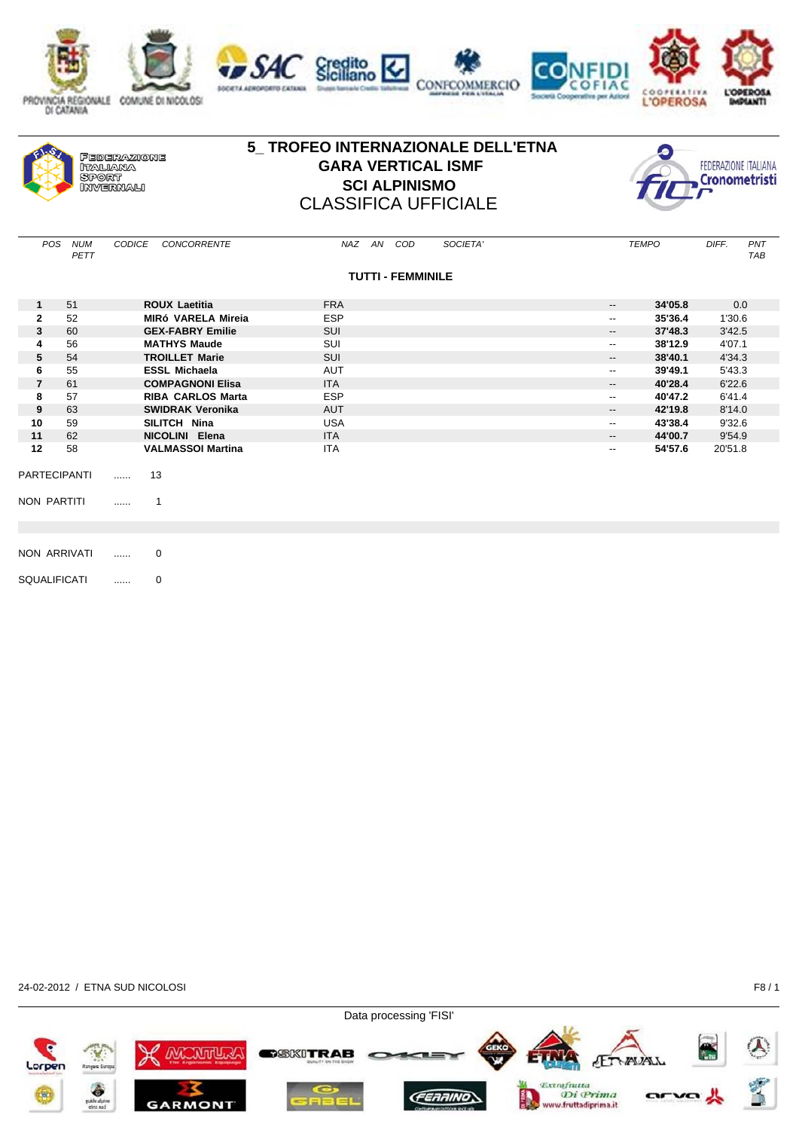

|  | <b>FEDERAZIONE</b><br>ITALIANA<br>SPORT<br><b><i>ORIVERMALL</i></b> |
|--|---------------------------------------------------------------------|
|--|---------------------------------------------------------------------|

## **5\_ TROFEO INTERNAZIONALE DELL'ETNA GARA VERTICAL ISMF SCI ALPINISMO** CLASSIFICA UFFICIALE



| POS                 | <b>NUM</b><br>PETT  | <b>CODICE</b><br>CONCORRENTE | NAZ AN COD<br>SOCIETA'   | <b>TEMPO</b>                        | DIFF.<br>PNT<br><b>TAB</b> |
|---------------------|---------------------|------------------------------|--------------------------|-------------------------------------|----------------------------|
|                     |                     |                              | <b>TUTTI - FEMMINILE</b> |                                     |                            |
| $\mathbf{1}$        | 51                  | <b>ROUX Laetitia</b>         | <b>FRA</b>               | 34'05.8<br>$\overline{\phantom{a}}$ | 0.0                        |
| $\mathbf{2}$        | 52                  | <b>MIRÓ VARELA Mireia</b>    | <b>ESP</b>               | 35'36.4<br>$\overline{\phantom{a}}$ | 1'30.6                     |
| 3                   | 60                  | <b>GEX-FABRY Emilie</b>      | SUI                      | 37'48.3<br>$\overline{\phantom{a}}$ | 3'42.5                     |
| 4                   | 56                  | <b>MATHYS Maude</b>          | SUI                      | 38'12.9<br>$\overline{\phantom{a}}$ | 4'07.1                     |
| 5                   | 54                  | <b>TROILLET Marie</b>        | <b>SUI</b>               | 38'40.1<br>$\overline{\phantom{a}}$ | 4'34.3                     |
| 6                   | 55                  | <b>ESSL Michaela</b>         | <b>AUT</b>               | 39'49.1<br>$\overline{\phantom{a}}$ | 5'43.3                     |
| $\overline{7}$      | 61                  | <b>COMPAGNONI Elisa</b>      | <b>ITA</b>               | 40'28.4<br>$\overline{\phantom{a}}$ | 6'22.6                     |
| 8                   | 57                  | <b>RIBA CARLOS Marta</b>     | <b>ESP</b>               | 40'47.2<br>$\overline{\phantom{a}}$ | 6'41.4                     |
| 9                   | 63                  | <b>SWIDRAK Veronika</b>      | <b>AUT</b>               | 42'19.8<br>--                       | 8'14.0                     |
| 10                  | 59                  | SILITCH Nina                 | <b>USA</b>               | 43'38.4<br>$\overline{\phantom{a}}$ | 9'32.6                     |
| 11                  | 62                  | NICOLINI Elena               | <b>ITA</b>               | 44'00.7<br>$\overline{\phantom{a}}$ | 9'54.9                     |
| 12                  | 58                  | <b>VALMASSOI Martina</b>     | <b>ITA</b>               | 54'57.6<br>$\overline{\phantom{a}}$ | 20'51.8                    |
|                     | <b>PARTECIPANTI</b> | 13<br>.                      |                          |                                     |                            |
| NON PARTITI         |                     | 1<br>.                       |                          |                                     |                            |
|                     |                     |                              |                          |                                     |                            |
|                     | NON ARRIVATI        | 0<br>.                       |                          |                                     |                            |
| <b>SQUALIFICATI</b> |                     | 0<br>                        |                          |                                     |                            |

24-02-2012 / ETNA SUD NICOLOSI F8 / 1

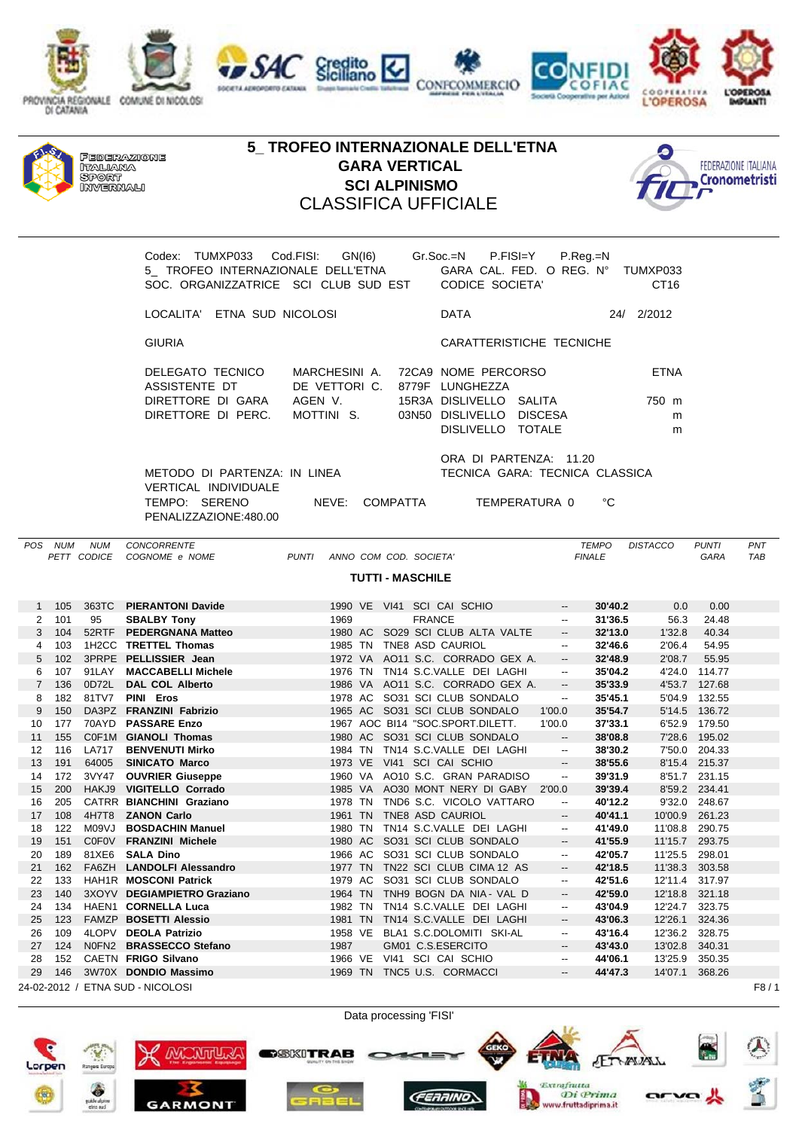

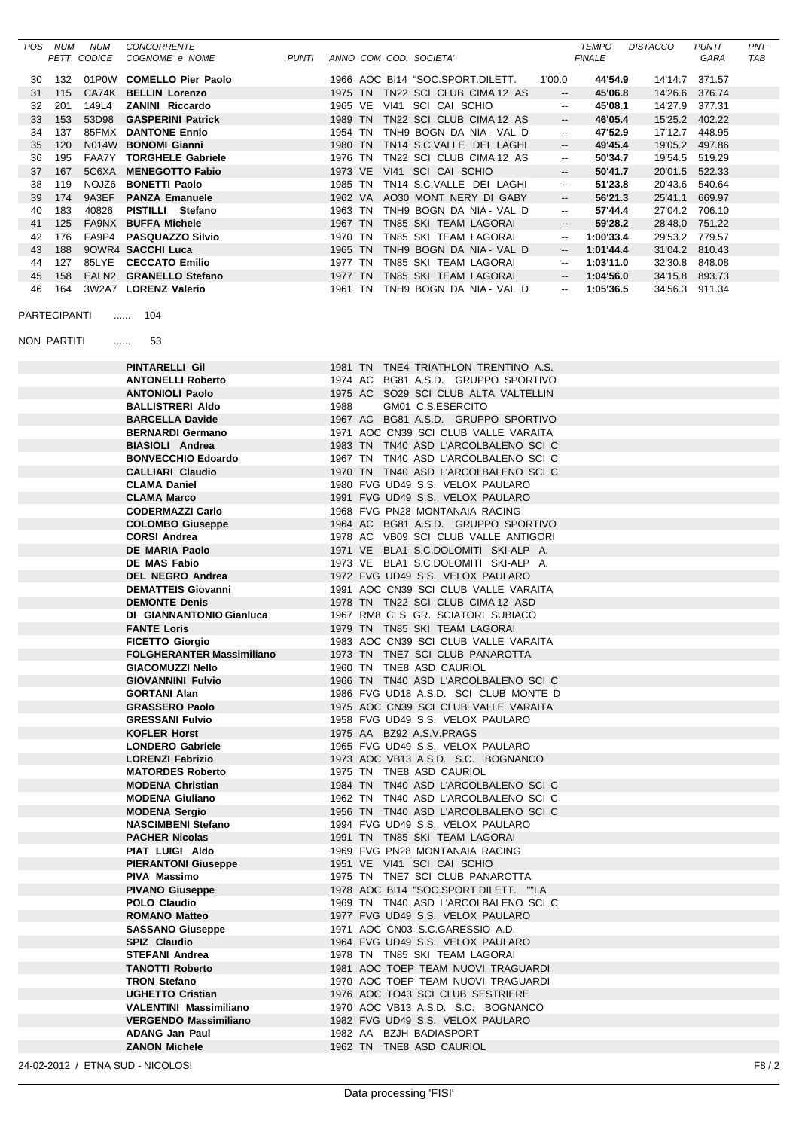|          | POS NUM             | <b>NUM</b><br>PETT CODICE | <b>CONCORRENTE</b><br>COGNOME e NOME                        | PUNTI |                    |  | ANNO COM COD. SOCIETA'                                                        |                                                      | TEMPO<br><b>FINALE</b> | <b>DISTACCO</b> | <b>PUNTI</b><br>GARA             | PNT<br>TAB |
|----------|---------------------|---------------------------|-------------------------------------------------------------|-------|--------------------|--|-------------------------------------------------------------------------------|------------------------------------------------------|------------------------|-----------------|----------------------------------|------------|
|          |                     |                           |                                                             |       |                    |  |                                                                               |                                                      |                        |                 |                                  |            |
| 30       | 132                 |                           | 01P0W COMELLO Pier Paolo                                    |       |                    |  | 1966 AOC BI14 "SOC.SPORT.DILETT.                                              | 1'00.0                                               | 44'54.9                |                 | 14'14.7 371.57                   |            |
| 31<br>32 | 115<br>201          | 149L4                     | CA74K BELLIN Lorenzo<br><b>ZANINI Riccardo</b>              |       |                    |  | 1975 TN TN22 SCI CLUB CIMA 12 AS<br>1965 VE VI41 SCI CAI SCHIO                | --<br>$\overline{\phantom{a}}$                       | 45'06.8<br>45'08.1     |                 | 14'26.6 376.74<br>14'27.9 377.31 |            |
| 33       | 153                 | 53D98                     | <b>GASPERINI Patrick</b>                                    |       |                    |  | 1989 TN TN22 SCI CLUB CIMA 12 AS                                              | $\overline{\phantom{a}}$                             | 46'05.4                |                 | 15'25.2 402.22                   |            |
| 34       | 137                 |                           | 85FMX DANTONE Ennio                                         |       | 1954 TN            |  | TNH9 BOGN DA NIA - VAL D                                                      | ۰.                                                   | 47'52.9                |                 | 17'12.7 448.95                   |            |
| 35       | 120                 |                           | N014W BONOMI Gianni                                         |       |                    |  | 1980 TN TN14 S.C.VALLE DEI LAGHI                                              | $\overline{\phantom{a}}$                             | 49'45.4                |                 | 19'05.2 497.86                   |            |
| 36       | 195                 |                           | FAA7Y TORGHELE Gabriele                                     |       | 1976 TN            |  | TN22 SCI CLUB CIMA 12 AS                                                      | $\overline{\phantom{a}}$                             | 50'34.7                |                 | 19'54.5 519.29                   |            |
| 37       | 167                 | 5C6XA                     | <b>MENEGOTTO Fabio</b>                                      |       |                    |  | 1973 VE VI41 SCI CAI SCHIO                                                    | --                                                   | 50'41.7                |                 | 20'01.5 522.33                   |            |
| 38       | 119                 |                           | NOJZ6 BONETTI Paolo                                         |       |                    |  | 1985 TN TN14 S.C.VALLE DEI LAGHI                                              | $\overline{\phantom{a}}$                             | 51'23.8                |                 | 20'43.6 540.64                   |            |
| 39       | 174                 |                           | 9A3EF PANZA Emanuele                                        |       |                    |  | 1962 VA AO30 MONT NERY DI GABY                                                | --                                                   | 56'21.3                |                 | 25'41.1 669.97                   |            |
| 40       | 183                 | 40826                     | PISTILLI Stefano                                            |       |                    |  | 1963 TN TNH9 BOGN DA NIA - VAL D                                              | $\overline{\phantom{a}}$                             | 57'44.4                |                 | 27'04.2 706.10                   |            |
| 41<br>42 | 125<br>176          |                           | FA9NX BUFFA Michele<br>FA9P4 PASQUAZZO Silvio               |       | 1967 TN<br>1970 TN |  | TN85 SKI TEAM LAGORAI<br>TN85 SKI TEAM LAGORAI                                | $\overline{\phantom{a}}$                             | 59'28.2<br>1:00'33.4   |                 | 28'48.0 751.22<br>29'53.2 779.57 |            |
| 43       | 188                 |                           | 90WR4 SACCHI Luca                                           |       | 1965 TN            |  | TNH9 BOGN DA NIA - VAL D                                                      | $\overline{\phantom{a}}$<br>$\overline{\phantom{a}}$ | 1:01'44.4              |                 | 31'04.2 810.43                   |            |
| 44       | 127                 |                           | 85LYE CECCATO Emilio                                        |       | 1977 TN            |  | TN85 SKI TEAM LAGORAI                                                         | $\overline{\phantom{a}}$                             | 1:03'11.0              |                 | 32'30.8 848.08                   |            |
| 45       | 158                 |                           | EALN2 GRANELLO Stefano                                      |       | 1977 TN            |  | TN85 SKI TEAM LAGORAI                                                         | $\overline{\phantom{a}}$                             | 1:04'56.0              |                 | 34'15.8 893.73                   |            |
| 46       | 164                 |                           | 3W2A7 LORENZ Valerio                                        |       |                    |  | 1961 TN TNH9 BOGN DA NIA - VAL D                                              | $\overline{\phantom{a}}$                             | 1:05'36.5              |                 | 34'56.3 911.34                   |            |
|          | <b>PARTECIPANTI</b> |                           | 104<br><b></b>                                              |       |                    |  |                                                                               |                                                      |                        |                 |                                  |            |
|          | NON PARTITI         |                           | 53<br>.                                                     |       |                    |  |                                                                               |                                                      |                        |                 |                                  |            |
|          |                     |                           | <b>PINTARELLI Gil</b>                                       |       |                    |  | 1981 TN TNE4 TRIATHLON TRENTINO A.S.                                          |                                                      |                        |                 |                                  |            |
|          |                     |                           | <b>ANTONELLI Roberto</b>                                    |       |                    |  | 1974 AC BG81 A.S.D. GRUPPO SPORTIVO                                           |                                                      |                        |                 |                                  |            |
|          |                     |                           | <b>ANTONIOLI Paolo</b>                                      |       |                    |  | 1975 AC SO29 SCI CLUB ALTA VALTELLIN                                          |                                                      |                        |                 |                                  |            |
|          |                     |                           | <b>BALLISTRERI Aldo</b>                                     |       | 1988               |  | GM01 C.S.ESERCITO                                                             |                                                      |                        |                 |                                  |            |
|          |                     |                           | <b>BARCELLA Davide</b><br><b>BERNARDI Germano</b>           |       |                    |  | 1967 AC BG81 A.S.D. GRUPPO SPORTIVO<br>1971 AOC CN39 SCI CLUB VALLE VARAITA   |                                                      |                        |                 |                                  |            |
|          |                     |                           | <b>BIASIOLI</b> Andrea                                      |       |                    |  | 1983 TN TN40 ASD L'ARCOLBALENO SCI C                                          |                                                      |                        |                 |                                  |            |
|          |                     |                           | <b>BONVECCHIO Edoardo</b>                                   |       |                    |  | 1967 TN TN40 ASD L'ARCOLBALENO SCI C                                          |                                                      |                        |                 |                                  |            |
|          |                     |                           | <b>CALLIARI Claudio</b>                                     |       |                    |  | 1970 TN TN40 ASD L'ARCOLBALENO SCI C                                          |                                                      |                        |                 |                                  |            |
|          |                     |                           | <b>CLAMA Daniel</b>                                         |       |                    |  | 1980 FVG UD49 S.S. VELOX PAULARO                                              |                                                      |                        |                 |                                  |            |
|          |                     |                           | <b>CLAMA Marco</b>                                          |       |                    |  | 1991 FVG UD49 S.S. VELOX PAULARO                                              |                                                      |                        |                 |                                  |            |
|          |                     |                           | <b>CODERMAZZI Carlo</b>                                     |       |                    |  | 1968 FVG PN28 MONTANAIA RACING                                                |                                                      |                        |                 |                                  |            |
|          |                     |                           | <b>COLOMBO Giuseppe</b>                                     |       |                    |  | 1964 AC BG81 A.S.D. GRUPPO SPORTIVO                                           |                                                      |                        |                 |                                  |            |
|          |                     |                           | <b>CORSI Andrea</b><br>DE MARIA Paolo                       |       |                    |  | 1978 AC VB09 SCI CLUB VALLE ANTIGORI<br>1971 VE BLA1 S.C.DOLOMITI SKI-ALP A.  |                                                      |                        |                 |                                  |            |
|          |                     |                           | <b>DE MAS Fabio</b>                                         |       |                    |  | 1973 VE BLA1 S.C.DOLOMITI SKI-ALP A.                                          |                                                      |                        |                 |                                  |            |
|          |                     |                           | <b>DEL NEGRO Andrea</b>                                     |       |                    |  | 1972 FVG UD49 S.S. VELOX PAULARO                                              |                                                      |                        |                 |                                  |            |
|          |                     |                           | <b>DEMATTEIS Giovanni</b>                                   |       |                    |  | 1991 AOC CN39 SCI CLUB VALLE VARAITA                                          |                                                      |                        |                 |                                  |            |
|          |                     |                           | <b>DEMONTE Denis</b>                                        |       |                    |  | 1978 TN TN22 SCI CLUB CIMA 12 ASD                                             |                                                      |                        |                 |                                  |            |
|          |                     |                           | DI GIANNANTONIO Gianluca                                    |       |                    |  | 1967 RM8 CLS GR. SCIATORI SUBIACO                                             |                                                      |                        |                 |                                  |            |
|          |                     |                           | <b>FANTE Loris</b>                                          |       |                    |  | 1979 TN TN85 SKI TEAM LAGORAI                                                 |                                                      |                        |                 |                                  |            |
|          |                     |                           | <b>FICETTO Giorgio</b>                                      |       |                    |  | 1983 AOC CN39 SCI CLUB VALLE VARAITA                                          |                                                      |                        |                 |                                  |            |
|          |                     |                           | <b>FOLGHERANTER Massimiliano</b><br><b>GIACOMUZZI Nello</b> |       |                    |  | 1973 TN TNE7 SCI CLUB PANAROTTA<br>1960 TN TNE8 ASD CAURIOL                   |                                                      |                        |                 |                                  |            |
|          |                     |                           | <b>GIOVANNINI Fulvio</b>                                    |       |                    |  | 1966 TN TN40 ASD L'ARCOLBALENO SCI C                                          |                                                      |                        |                 |                                  |            |
|          |                     |                           | <b>GORTANI Alan</b>                                         |       |                    |  | 1986 FVG UD18 A.S.D. SCI CLUB MONTE D                                         |                                                      |                        |                 |                                  |            |
|          |                     |                           | <b>GRASSERO Paolo</b>                                       |       |                    |  | 1975 AOC CN39 SCI CLUB VALLE VARAITA                                          |                                                      |                        |                 |                                  |            |
|          |                     |                           | <b>GRESSANI Fulvio</b>                                      |       |                    |  | 1958 FVG UD49 S.S. VELOX PAULARO                                              |                                                      |                        |                 |                                  |            |
|          |                     |                           | <b>KOFLER Horst</b>                                         |       |                    |  | 1975 AA BZ92 A.S.V.PRAGS                                                      |                                                      |                        |                 |                                  |            |
|          |                     |                           | <b>LONDERO Gabriele</b>                                     |       |                    |  | 1965 FVG UD49 S.S. VELOX PAULARO                                              |                                                      |                        |                 |                                  |            |
|          |                     |                           | <b>LORENZI Fabrizio</b><br><b>MATORDES Roberto</b>          |       |                    |  | 1973 AOC VB13 A.S.D. S.C. BOGNANCO<br>1975 TN TNE8 ASD CAURIOL                |                                                      |                        |                 |                                  |            |
|          |                     |                           | <b>MODENA Christian</b>                                     |       |                    |  | 1984 TN TN40 ASD L'ARCOLBALENO SCI C                                          |                                                      |                        |                 |                                  |            |
|          |                     |                           | <b>MODENA Giuliano</b>                                      |       |                    |  | 1962 TN TN40 ASD L'ARCOLBALENO SCI C                                          |                                                      |                        |                 |                                  |            |
|          |                     |                           | <b>MODENA Sergio</b>                                        |       |                    |  | 1956 TN TN40 ASD L'ARCOLBALENO SCI C                                          |                                                      |                        |                 |                                  |            |
|          |                     |                           | <b>NASCIMBENI Stefano</b>                                   |       |                    |  | 1994 FVG UD49 S.S. VELOX PAULARO                                              |                                                      |                        |                 |                                  |            |
|          |                     |                           | <b>PACHER Nicolas</b>                                       |       |                    |  | 1991 TN TN85 SKI TEAM LAGORAI                                                 |                                                      |                        |                 |                                  |            |
|          |                     |                           | PIAT LUIGI Aldo                                             |       |                    |  | 1969 FVG PN28 MONTANAIA RACING                                                |                                                      |                        |                 |                                  |            |
|          |                     |                           | <b>PIERANTONI Giuseppe</b>                                  |       |                    |  | 1951 VE VI41 SCI CAI SCHIO                                                    |                                                      |                        |                 |                                  |            |
|          |                     |                           | PIVA Massimo                                                |       |                    |  | 1975 TN TNE7 SCI CLUB PANAROTTA                                               |                                                      |                        |                 |                                  |            |
|          |                     |                           | <b>PIVANO Giuseppe</b><br><b>POLO Claudio</b>               |       |                    |  | 1978 AOC BI14 "SOC.SPORT.DILETT. ""LA<br>1969 TN TN40 ASD L'ARCOLBALENO SCI C |                                                      |                        |                 |                                  |            |
|          |                     |                           |                                                             |       |                    |  | 1977 FVG UD49 S.S. VELOX PAULARO                                              |                                                      |                        |                 |                                  |            |
|          |                     |                           |                                                             |       |                    |  | 1971 AOC CN03 S.C.GARESSIO A.D.                                               |                                                      |                        |                 |                                  |            |
|          |                     |                           | <b>ROMANO Matteo</b><br><b>SASSANO Giuseppe</b>             |       |                    |  |                                                                               |                                                      |                        |                 |                                  |            |
|          |                     |                           | SPIZ Claudio                                                |       |                    |  | 1964 FVG UD49 S.S. VELOX PAULARO                                              |                                                      |                        |                 |                                  |            |
|          |                     |                           | <b>STEFANI Andrea</b>                                       |       |                    |  | 1978 TN TN85 SKI TEAM LAGORAI                                                 |                                                      |                        |                 |                                  |            |
|          |                     |                           | <b>TANOTTI Roberto</b>                                      |       |                    |  | 1981 AOC TOEP TEAM NUOVI TRAGUARDI                                            |                                                      |                        |                 |                                  |            |
|          |                     |                           | <b>TRON Stefano</b>                                         |       |                    |  | 1970 AOC TOEP TEAM NUOVI TRAGUARDI                                            |                                                      |                        |                 |                                  |            |
|          |                     |                           | <b>UGHETTO Cristian</b>                                     |       |                    |  | 1976 AOC TO43 SCI CLUB SESTRIERE                                              |                                                      |                        |                 |                                  |            |
|          |                     |                           | <b>VALENTINI Massimiliano</b>                               |       |                    |  | 1970 AOC VB13 A.S.D. S.C. BOGNANCO                                            |                                                      |                        |                 |                                  |            |
|          |                     |                           | <b>VERGENDO Massimiliano</b>                                |       |                    |  | 1982 FVG UD49 S.S. VELOX PAULARO                                              |                                                      |                        |                 |                                  |            |
|          |                     |                           | <b>ADANG Jan Paul</b><br><b>ZANON Michele</b>               |       |                    |  | 1982 AA BZJH BADIASPORT<br>1962 TN TNE8 ASD CAURIOL                           |                                                      |                        |                 |                                  |            |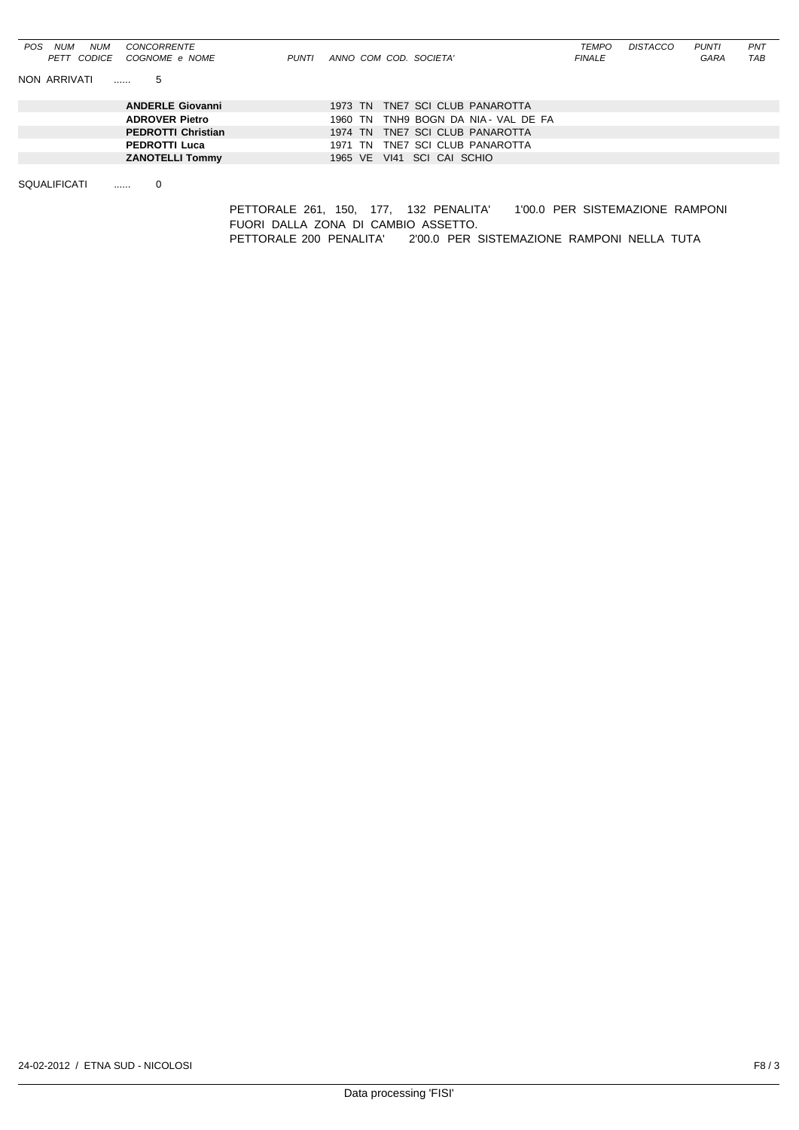| NUM<br>CONCORRENTE<br><b>POS</b><br><b>NUM</b> |                                              | <b>TEMPO</b>  | DISTACCO | <b>PUNTI</b> | PNT |
|------------------------------------------------|----------------------------------------------|---------------|----------|--------------|-----|
| PETT CODICE<br>COGNOME e NOME<br>PUNTI         | ANNO COM COD. SOCIETA'                       | <b>FINALE</b> |          | GARA         | TAB |
| NON ARRIVATI<br>5<br>.                         |                                              |               |          |              |     |
| <b>ANDERLE Giovanni</b>                        | 1973 TN TNE7 SCI CLUB PANAROTTA              |               |          |              |     |
| <b>ADROVER Pietro</b>                          | TNH9 BOGN DA NIA - VAL DE FA<br>1960 TN      |               |          |              |     |
| <b>PEDROTTI Christian</b>                      | TNE7 SCI CLUB PANAROTTA<br>1974 TN           |               |          |              |     |
| <b>PEDROTTI Luca</b>                           | TNE7 SCI CLUB PANAROTTA<br>1971 TN           |               |          |              |     |
| <b>ZANOTELLI Tommy</b>                         | SCI CAI SCHIO<br>1965 VE<br>V <sub>141</sub> |               |          |              |     |
|                                                |                                              |               |          |              |     |

SQUALIFICATI ...... 0

PETTORALE 261, 150, 177, 132 PENALITA' 1'00.0 PER SISTEMAZIONE RAMPONI FUORI DALLA ZONA DI CAMBIO ASSETTO. PETTORALE 200 PENALITA' 2'00.0 PER SISTEMAZIONE RAMPONI NELLA TUTA